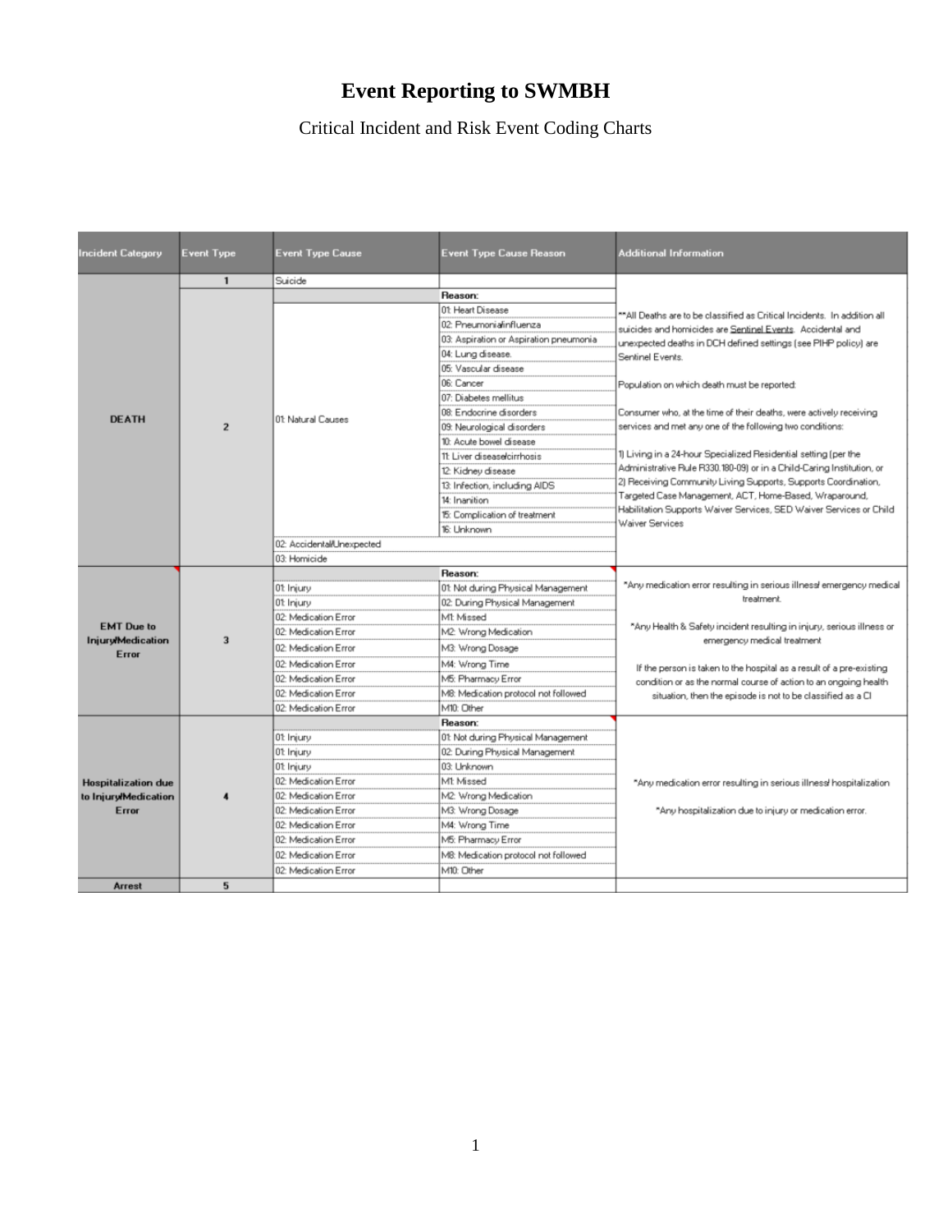## **Event Reporting to SWMBH**

Critical Incident and Risk Event Coding Charts

| <b>Incident Category</b>      | <b>Event Type</b> | <b>Event Type Cause</b>   | <b>Event Type Cause Reason</b>         | <b>Additional Information</b>                                                                                                                                                                                                                                                                                                                                  |
|-------------------------------|-------------------|---------------------------|----------------------------------------|----------------------------------------------------------------------------------------------------------------------------------------------------------------------------------------------------------------------------------------------------------------------------------------------------------------------------------------------------------------|
|                               | $\mathbf{1}$      | Suicide                   |                                        |                                                                                                                                                                                                                                                                                                                                                                |
|                               |                   |                           | Reason:                                | **All Deaths are to be classified as Critical Incidents. In addition all                                                                                                                                                                                                                                                                                       |
|                               |                   |                           | 01 Heart Disease                       |                                                                                                                                                                                                                                                                                                                                                                |
|                               |                   |                           | 02: Pneumonia/influenza                | suicides and homicides are Sentinel Events. Accidental and                                                                                                                                                                                                                                                                                                     |
|                               |                   |                           | 03: Aspiration or Aspiration pneumonia | unexpected deaths in DCH defined settings (see PIHP policy) are                                                                                                                                                                                                                                                                                                |
|                               |                   |                           | 04: Lung disease.                      | Sentinel Events.                                                                                                                                                                                                                                                                                                                                               |
|                               |                   |                           | 05: Vascular disease                   |                                                                                                                                                                                                                                                                                                                                                                |
|                               |                   |                           | 06: Cancer                             | Population on which death must be reported:                                                                                                                                                                                                                                                                                                                    |
|                               |                   |                           | 07: Diabetes mellitus                  |                                                                                                                                                                                                                                                                                                                                                                |
| <b>DEATH</b>                  |                   | 01: Natural Causes        | 08: Endocrine disorders                | Consumer who, at the time of their deaths, were actively receiving                                                                                                                                                                                                                                                                                             |
|                               | $\overline{2}$    |                           | 09: Neurological disorders             | services and met any one of the following two conditions:                                                                                                                                                                                                                                                                                                      |
|                               |                   |                           | 10: Acute bowel disease                |                                                                                                                                                                                                                                                                                                                                                                |
|                               |                   |                           | 11: Liver disease/cirrhosis            | 1) Living in a 24-hour Specialized Residential setting (per the<br>Administrative Rule R330.180-09) or in a Child-Caring Institution, or<br>2) Receiving Community Living Supports, Supports Coordination,<br>Targeted Case Management, ACT, Home-Based, Wraparound,<br>Habilitation Supports Waiver Services, SED Waiver Services or Child<br>Waiver Services |
|                               |                   |                           | 12: Kidney disease                     |                                                                                                                                                                                                                                                                                                                                                                |
|                               |                   |                           | 13: Infection, including AIDS          |                                                                                                                                                                                                                                                                                                                                                                |
|                               |                   |                           | 14: Inanition                          |                                                                                                                                                                                                                                                                                                                                                                |
|                               |                   |                           | 15: Complication of treatment          |                                                                                                                                                                                                                                                                                                                                                                |
|                               |                   |                           | 16: Unknown                            |                                                                                                                                                                                                                                                                                                                                                                |
|                               |                   | 02: Accidental/Unexpected |                                        |                                                                                                                                                                                                                                                                                                                                                                |
|                               |                   | 03: Homicide              |                                        |                                                                                                                                                                                                                                                                                                                                                                |
|                               |                   |                           | Reason:                                |                                                                                                                                                                                                                                                                                                                                                                |
|                               |                   | 01: Injury                | 01: Not during Physical Management     | "Any medication error resulting in serious illness emergency medical<br>treatment.                                                                                                                                                                                                                                                                             |
|                               |                   | 01: Injury                | 02: During Physical Management         |                                                                                                                                                                                                                                                                                                                                                                |
| <b>EMT</b> Due to             |                   | 02: Medication Error      | MI: Missed                             | "Any Health & Safety incident resulting in injury, serious illness or                                                                                                                                                                                                                                                                                          |
| <b>Injury/Medication</b>      | $\overline{3}$    | 02: Medication Error      | M2: Wrong Medication                   | emergency medical treatment                                                                                                                                                                                                                                                                                                                                    |
| Error                         |                   | 02: Medication Error      | M3: Wrong Dosage                       |                                                                                                                                                                                                                                                                                                                                                                |
|                               |                   | 02: Medication Error      | M4: Wrong Time                         | If the person is taken to the hospital as a result of a pre-existing                                                                                                                                                                                                                                                                                           |
|                               |                   | 02: Medication Error      | M5: Pharmacy Error                     | condition or as the normal course of action to an ongoing health                                                                                                                                                                                                                                                                                               |
|                               |                   | 02: Medication Error      | M8: Medication protocol not followed   | situation, then the episode is not to be classified as a CI                                                                                                                                                                                                                                                                                                    |
|                               |                   | 02: Medication Error      | M10: Other                             |                                                                                                                                                                                                                                                                                                                                                                |
|                               |                   |                           | Reason:                                |                                                                                                                                                                                                                                                                                                                                                                |
|                               |                   | 01: Injury                | 01: Not during Physical Management     |                                                                                                                                                                                                                                                                                                                                                                |
|                               |                   | 01: Injury                | 02: During Physical Management         |                                                                                                                                                                                                                                                                                                                                                                |
|                               |                   | 01: Injury                | 03: Unknown                            |                                                                                                                                                                                                                                                                                                                                                                |
| <b>Hospitalization due</b>    |                   | 02: Medication Error      | M1 Missed                              | "Any medication error resulting in serious illness! hospitalization                                                                                                                                                                                                                                                                                            |
| to Injury/Medication<br>Error |                   | 02: Medication Error      | M2: Wrong Medication                   |                                                                                                                                                                                                                                                                                                                                                                |
|                               |                   | 02: Medication Error      | M3: Wrong Dosage                       | "Any hospitalization due to injury or medication error.                                                                                                                                                                                                                                                                                                        |
|                               |                   | 02: Medication Error      | M4: Wrong Time                         |                                                                                                                                                                                                                                                                                                                                                                |
|                               |                   | 02: Medication Error      | M5: Pharmacy Error                     |                                                                                                                                                                                                                                                                                                                                                                |
|                               |                   | 02: Medication Error      | M8: Medication protocol not followed   |                                                                                                                                                                                                                                                                                                                                                                |
|                               |                   | 02: Medication Error      | M10: Other                             |                                                                                                                                                                                                                                                                                                                                                                |
| Arrest                        | 5.                |                           |                                        |                                                                                                                                                                                                                                                                                                                                                                |